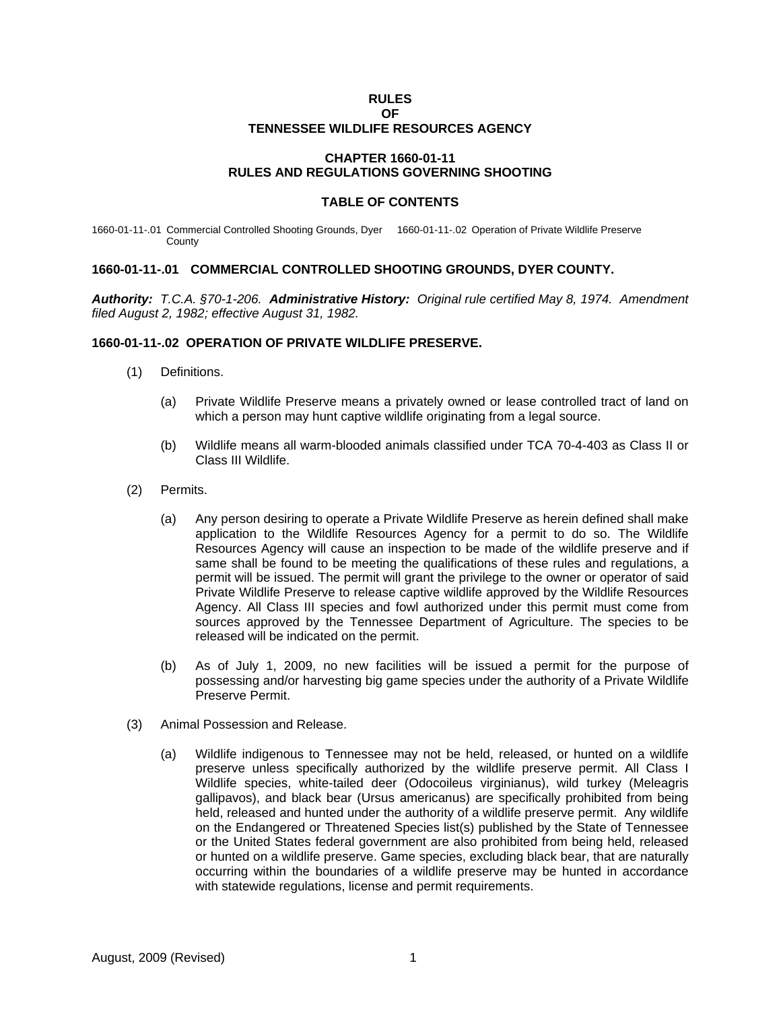# **RULES**

#### **OF TENNESSEE WILDLIFE RESOURCES AGENCY**

## **CHAPTER 1660-01-11 RULES AND REGULATIONS GOVERNING SHOOTING**

#### **TABLE OF CONTENTS**

1660-01-11-.01 Commercial Controlled Shooting Grounds, Dyer 1660-01-11-.02 Operation of Private Wildlife Preserve **County** 

## **1660-01-11-.01 COMMERCIAL CONTROLLED SHOOTING GROUNDS, DYER COUNTY.**

*Authority: T.C.A. §70-1-206. Administrative History: Original rule certified May 8, 1974. Amendment filed August 2, 1982; effective August 31, 1982.* 

#### **1660-01-11-.02 OPERATION OF PRIVATE WILDLIFE PRESERVE.**

- (1) Definitions.
	- (a) Private Wildlife Preserve means a privately owned or lease controlled tract of land on which a person may hunt captive wildlife originating from a legal source.
	- (b) Wildlife means all warm-blooded animals classified under TCA 70-4-403 as Class II or Class III Wildlife.
- (2) Permits.
	- (a) Any person desiring to operate a Private Wildlife Preserve as herein defined shall make application to the Wildlife Resources Agency for a permit to do so. The Wildlife Resources Agency will cause an inspection to be made of the wildlife preserve and if same shall be found to be meeting the qualifications of these rules and regulations, a permit will be issued. The permit will grant the privilege to the owner or operator of said Private Wildlife Preserve to release captive wildlife approved by the Wildlife Resources Agency. All Class III species and fowl authorized under this permit must come from sources approved by the Tennessee Department of Agriculture. The species to be released will be indicated on the permit.
	- (b) As of July 1, 2009, no new facilities will be issued a permit for the purpose of possessing and/or harvesting big game species under the authority of a Private Wildlife Preserve Permit.
- (3) Animal Possession and Release.
	- (a) Wildlife indigenous to Tennessee may not be held, released, or hunted on a wildlife preserve unless specifically authorized by the wildlife preserve permit. All Class I Wildlife species, white-tailed deer (Odocoileus virginianus), wild turkey (Meleagris gallipavos), and black bear (Ursus americanus) are specifically prohibited from being held, released and hunted under the authority of a wildlife preserve permit. Any wildlife on the Endangered or Threatened Species list(s) published by the State of Tennessee or the United States federal government are also prohibited from being held, released or hunted on a wildlife preserve. Game species, excluding black bear, that are naturally occurring within the boundaries of a wildlife preserve may be hunted in accordance with statewide regulations, license and permit requirements.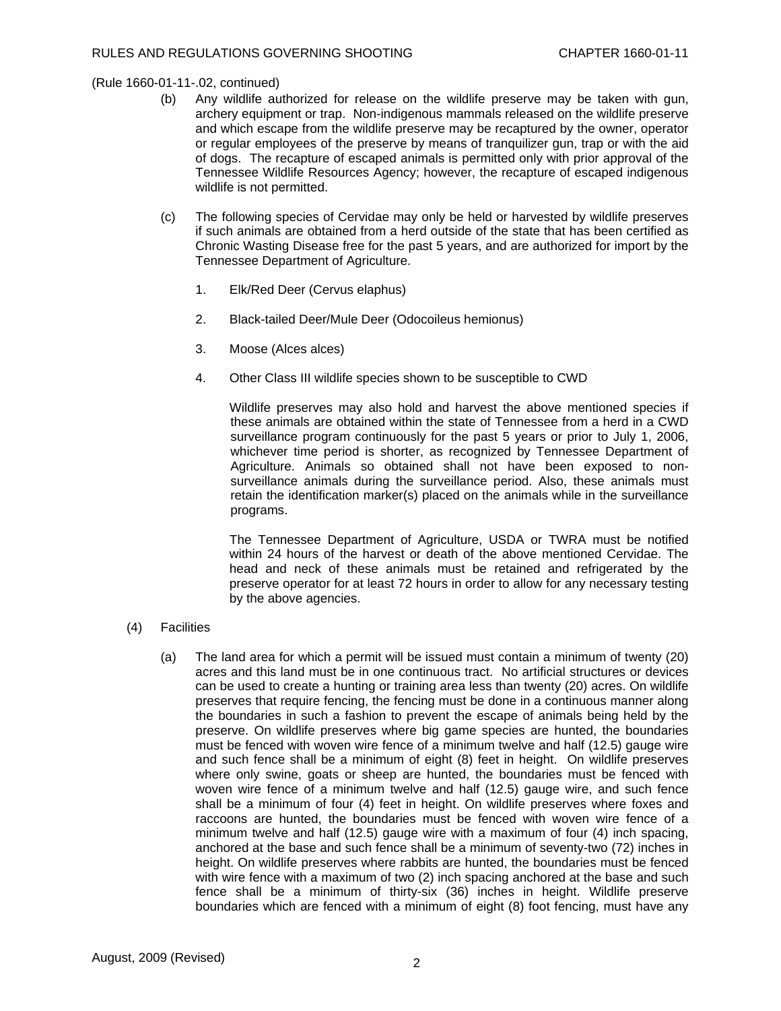# (Rule 1660-01-11-.02, continued)

- (b) Any wildlife authorized for release on the wildlife preserve may be taken with gun, archery equipment or trap. Non-indigenous mammals released on the wildlife preserve and which escape from the wildlife preserve may be recaptured by the owner, operator or regular employees of the preserve by means of tranquilizer gun, trap or with the aid of dogs. The recapture of escaped animals is permitted only with prior approval of the Tennessee Wildlife Resources Agency; however, the recapture of escaped indigenous wildlife is not permitted.
- (c) The following species of Cervidae may only be held or harvested by wildlife preserves if such animals are obtained from a herd outside of the state that has been certified as Chronic Wasting Disease free for the past 5 years, and are authorized for import by the Tennessee Department of Agriculture.
	- 1. Elk/Red Deer (Cervus elaphus)
	- 2. Black-tailed Deer/Mule Deer (Odocoileus hemionus)
	- 3. Moose (Alces alces)
	- 4. Other Class III wildlife species shown to be susceptible to CWD

 Wildlife preserves may also hold and harvest the above mentioned species if these animals are obtained within the state of Tennessee from a herd in a CWD surveillance program continuously for the past 5 years or prior to July 1, 2006, whichever time period is shorter, as recognized by Tennessee Department of Agriculture. Animals so obtained shall not have been exposed to nonsurveillance animals during the surveillance period. Also, these animals must retain the identification marker(s) placed on the animals while in the surveillance programs.

 The Tennessee Department of Agriculture, USDA or TWRA must be notified within 24 hours of the harvest or death of the above mentioned Cervidae. The head and neck of these animals must be retained and refrigerated by the preserve operator for at least 72 hours in order to allow for any necessary testing by the above agencies.

# (4) Facilities

(a) The land area for which a permit will be issued must contain a minimum of twenty (20) acres and this land must be in one continuous tract. No artificial structures or devices can be used to create a hunting or training area less than twenty (20) acres. On wildlife preserves that require fencing, the fencing must be done in a continuous manner along the boundaries in such a fashion to prevent the escape of animals being held by the preserve. On wildlife preserves where big game species are hunted, the boundaries must be fenced with woven wire fence of a minimum twelve and half (12.5) gauge wire and such fence shall be a minimum of eight (8) feet in height. On wildlife preserves where only swine, goats or sheep are hunted, the boundaries must be fenced with woven wire fence of a minimum twelve and half (12.5) gauge wire, and such fence shall be a minimum of four (4) feet in height. On wildlife preserves where foxes and raccoons are hunted, the boundaries must be fenced with woven wire fence of a minimum twelve and half (12.5) gauge wire with a maximum of four (4) inch spacing, anchored at the base and such fence shall be a minimum of seventy-two (72) inches in height. On wildlife preserves where rabbits are hunted, the boundaries must be fenced with wire fence with a maximum of two (2) inch spacing anchored at the base and such fence shall be a minimum of thirty-six (36) inches in height. Wildlife preserve boundaries which are fenced with a minimum of eight (8) foot fencing, must have any